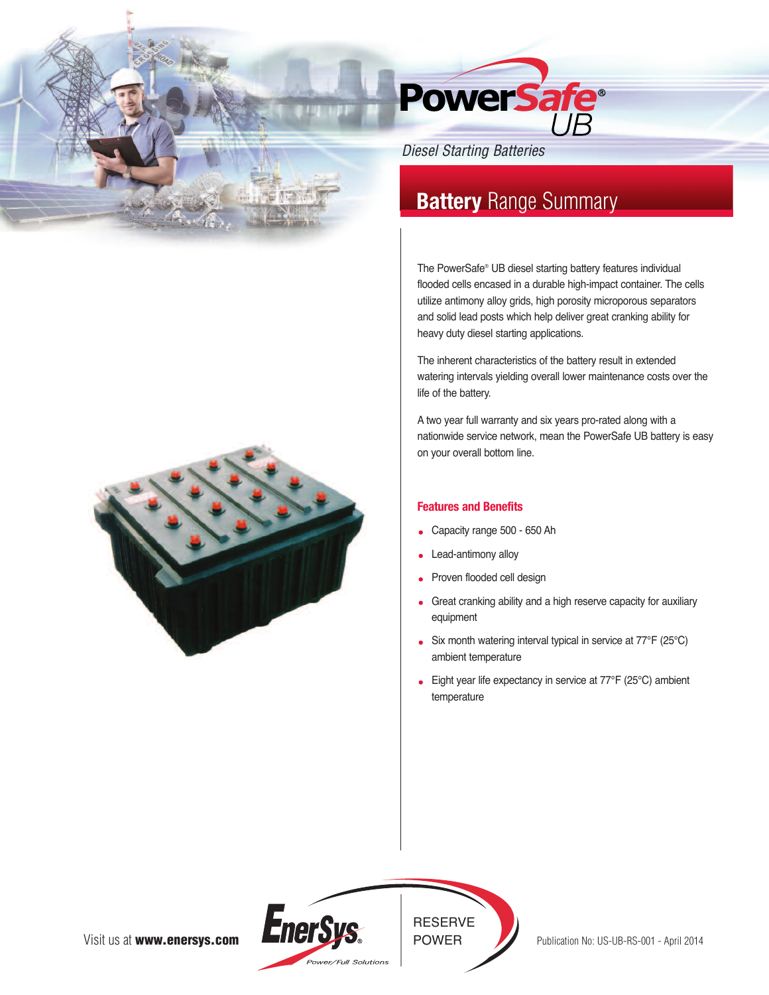

# *Diesel Starting Batteries*

# **Battery** Range Summary

The PowerSafe® UB diesel starting battery features individual flooded cells encased in a durable high-impact container. The cells utilize antimony alloy grids, high porosity microporous separators and solid lead posts which help deliver great cranking ability for heavy duty diesel starting applications.

The inherent characteristics of the battery result in extended watering intervals yielding overall lower maintenance costs over the life of the battery.

A two year full warranty and six years pro-rated along with a nationwide service network, mean the PowerSafe UB battery is easy on your overall bottom line.

### **Features and Benefits**

- Capacity range 500 650 Ah
- Lead-antimony alloy
- Proven flooded cell design
- Great cranking ability and a high reserve capacity for auxiliary equipment
- Six month watering interval typical in service at 77°F (25°C) ambient temperature
- Eight year life expectancy in service at 77℉ (25°C) ambient temperature